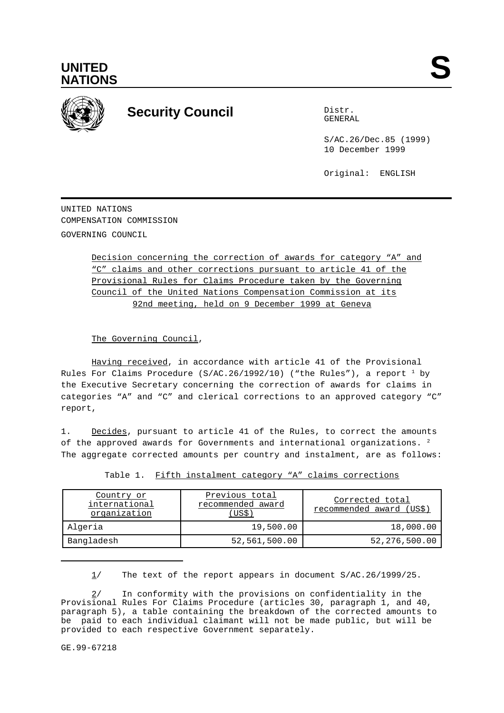



# **Security Council** Distribution Distribution

GENERAL

S/AC.26/Dec.85 (1999) 10 December 1999

Original: ENGLISH

UNITED NATIONS COMPENSATION COMMISSION GOVERNING COUNCIL

> Decision concerning the correction of awards for category "A" and "C" claims and other corrections pursuant to article 41 of the Provisional Rules for Claims Procedure taken by the Governing Council of the United Nations Compensation Commission at its 92nd meeting, held on 9 December 1999 at Geneva

The Governing Council,

Having received, in accordance with article 41 of the Provisional Rules For Claims Procedure (S/AC.26/1992/10) ("the Rules"), a report  $^1$  by the Executive Secretary concerning the correction of awards for claims in categories "A" and "C" and clerical corrections to an approved category "C" report,

1. Decides, pursuant to article 41 of the Rules, to correct the amounts of the approved awards for Governments and international organizations. <sup>2</sup> The aggregate corrected amounts per country and instalment, are as follows:

| Country or<br>international<br>organization | Previous total<br>recommended award<br>(US\$) | Corrected total<br>recommended award (US\$) |
|---------------------------------------------|-----------------------------------------------|---------------------------------------------|
| Algeria                                     | 19,500.00                                     | 18,000.00                                   |
| Bangladesh                                  | 52,561,500.00                                 | 52,276,500.00                               |

Table 1. Fifth instalment category "A" claims corrections

1/ The text of the report appears in document S/AC.26/1999/25.

2/ In conformity with the provisions on confidentiality in the Provisional Rules For Claims Procedure (articles 30, paragraph 1, and 40, paragraph 5), a table containing the breakdown of the corrected amounts to be paid to each individual claimant will not be made public, but will be provided to each respective Government separately.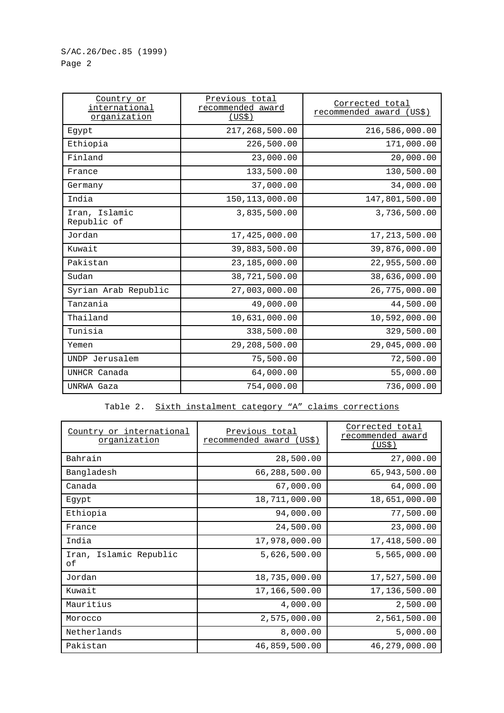| Country or<br>international<br>organization | Previous total<br>recommended award<br>(US\$) | Corrected total<br><u>recommended award (US\$)</u> |
|---------------------------------------------|-----------------------------------------------|----------------------------------------------------|
| Egypt                                       | 217,268,500.00                                | 216,586,000.00                                     |
| Ethiopia                                    | 226,500.00                                    | 171,000.00                                         |
| Finland                                     | 23,000.00                                     | 20,000.00                                          |
| France                                      | 133,500.00                                    | 130,500.00                                         |
| Germany                                     | 37,000.00                                     | 34,000.00                                          |
| India                                       | 150, 113, 000.00                              | 147,801,500.00                                     |
| Iran, Islamic<br>Republic of                | 3,835,500.00                                  | 3,736,500.00                                       |
| Jordan                                      | 17,425,000.00                                 | 17, 213, 500.00                                    |
| Kuwait                                      | 39,883,500.00                                 | 39,876,000.00                                      |
| Pakistan                                    | 23,185,000.00                                 | 22,955,500.00                                      |
| Sudan                                       | 38,721,500.00                                 | 38,636,000.00                                      |
| Syrian Arab Republic                        | 27,003,000.00                                 | 26,775,000.00                                      |
| Tanzania                                    | 49,000.00                                     | 44,500.00                                          |
| Thailand                                    | 10,631,000.00                                 | 10,592,000.00                                      |
| Tunisia                                     | 338,500.00                                    | 329,500.00                                         |
| Yemen                                       | 29,208,500.00                                 | 29,045,000.00                                      |
| UNDP Jerusalem                              | 75,500.00                                     | 72,500.00                                          |
| UNHCR Canada                                | 64,000.00                                     | 55,000.00                                          |
| UNRWA Gaza                                  | 754,000.00                                    | 736,000.00                                         |

### Table 2. Sixth instalment category "A" claims corrections

| Country or international<br>organization | Previous total<br>recommended award<br>(US\$) | Corrected total<br>recommended award<br>(US\$) |
|------------------------------------------|-----------------------------------------------|------------------------------------------------|
| Bahrain                                  | 28,500.00                                     | 27,000.00                                      |
| Bangladesh                               | 66,288,500.00                                 | 65,943,500.00                                  |
| Canada                                   | 67,000.00                                     | 64,000.00                                      |
| Egypt                                    | 18,711,000.00                                 | 18,651,000.00                                  |
| Ethiopia                                 | 94,000.00                                     | 77,500.00                                      |
| France                                   | 24,500.00                                     | 23,000.00                                      |
| India                                    | 17,978,000.00                                 | 17,418,500.00                                  |
| Iran, Islamic Republic<br>оf             | 5,626,500.00                                  | 5,565,000.00                                   |
| Jordan                                   | 18,735,000.00                                 | 17,527,500.00                                  |
| Kuwait                                   | 17,166,500.00                                 | 17,136,500.00                                  |
| Mauritius                                | 4,000.00                                      | 2,500.00                                       |
| Morocco                                  | 2,575,000.00                                  | 2,561,500.00                                   |
| Netherlands                              | 8,000.00                                      | 5,000.00                                       |
| Pakistan                                 | 46,859,500.00                                 | 46,279,000.00                                  |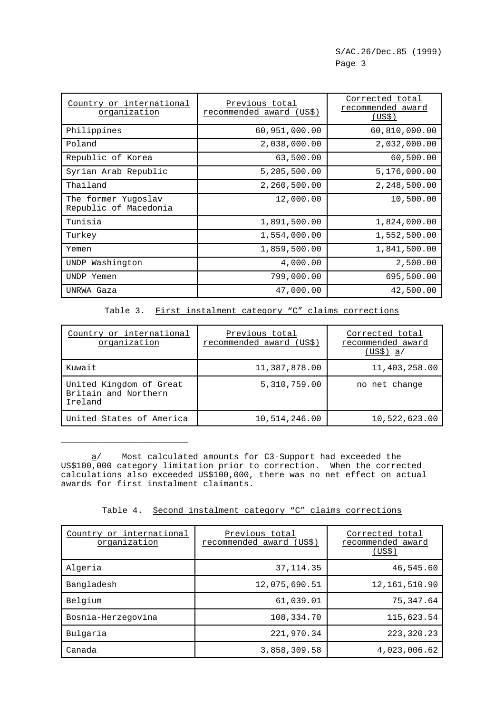| Country or international<br><u>organization</u> | Previous total<br>recommended award<br>(US\$) | Corrected total<br>recommended award<br>(US\$) |
|-------------------------------------------------|-----------------------------------------------|------------------------------------------------|
| Philippines                                     | 60,951,000.00                                 | 60,810,000.00                                  |
| Poland                                          | 2,038,000.00                                  | 2,032,000.00                                   |
| Republic of Korea                               | 63,500.00                                     | 60,500.00                                      |
| Syrian Arab Republic                            | 5,285,500.00                                  | 5,176,000.00                                   |
| Thailand                                        | 2,260,500.00                                  | 2,248,500.00                                   |
| The former Yugoslav<br>Republic of Macedonia    | 12,000.00                                     | 10,500.00                                      |
| Tunisia                                         | 1,891,500.00                                  | 1,824,000.00                                   |
| Turkey                                          | 1,554,000.00                                  | 1,552,500.00                                   |
| Yemen                                           | 1,859,500.00                                  | 1,841,500.00                                   |
| Washington<br>UNDP                              | 4,000.00                                      | 2,500.00                                       |
| UNDP Yemen                                      | 799,000.00                                    | 695,500.00                                     |
| UNRWA Gaza                                      | 47,000.00                                     | 42,500.00                                      |

Table 3. First instalment category "C" claims corrections

| Country or international<br>organization                   | Previous total<br>recommended award (US\$) | Corrected total<br>recommended award<br>(US\$) a/ |
|------------------------------------------------------------|--------------------------------------------|---------------------------------------------------|
| Kuwait                                                     | 11,387,878.00                              | 11,403,258.00                                     |
| United Kingdom of Great<br>Britain and Northern<br>Ireland | 5,310,759.00                               | no net change                                     |
| United States of America                                   | 10,514,246.00                              | 10,522,623.00                                     |

a/ Most calculated amounts for C3-Support had exceeded the US\$100,000 category limitation prior to correction. When the corrected calculations also exceeded US\$100,000, there was no net effect on actual awards for first instalment claimants.

\_\_\_\_\_\_\_\_\_\_\_\_\_\_\_\_\_\_\_\_\_\_\_\_\_

Table 4. Second instalment category "C" claims corrections

| Country or international<br>organization | Previous total<br>recommended award (US\$) | Corrected total<br>recommended award<br>(US\$) |
|------------------------------------------|--------------------------------------------|------------------------------------------------|
| Algeria                                  | 37, 114.35                                 | 46,545.60                                      |
| Bangladesh                               | 12,075,690.51                              | 12,161,510.90                                  |
| Belgium                                  | 61,039.01                                  | 75,347.64                                      |
| Bosnia-Herzegovina                       | 108,334.70                                 | 115,623.54                                     |
| Bulgaria                                 | 221,970.34                                 | 223, 320. 23                                   |
| Canada                                   | 3,858,309.58                               | 4,023,006.62                                   |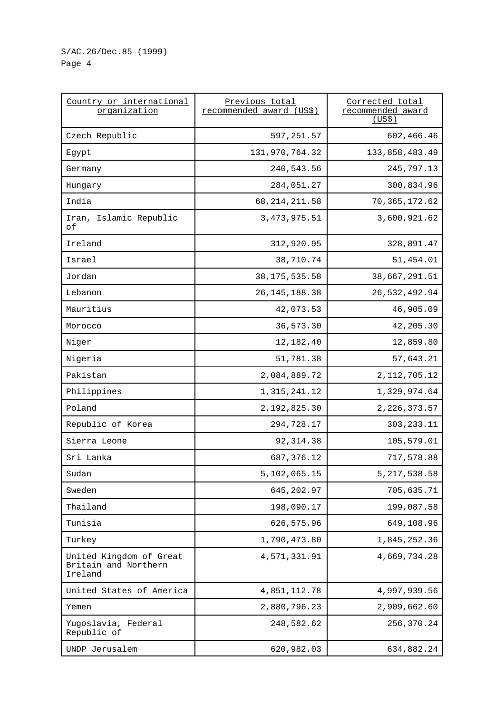## S/AC.26/Dec.85 (1999) Page 4

| Country or international<br>organization                   | Previous total<br>recommended_award (US\$) | Corrected total<br>recommended award<br>(US\$) |
|------------------------------------------------------------|--------------------------------------------|------------------------------------------------|
| Czech Republic                                             | 597,251.57                                 | 602,466.46                                     |
| Egypt                                                      | 131,970,764.32                             | 133,858,483.49                                 |
| Germany                                                    | 240,543.56                                 | 245,797.13                                     |
| Hungary                                                    | 284,051.27                                 | 300,834.96                                     |
| India                                                      | 68, 214, 211.58                            | 70, 365, 172.62                                |
| Iran, Islamic Republic<br>οf                               | 3, 473, 975.51                             | 3,600,921.62                                   |
| Ireland                                                    | 312,920.95                                 | 328,891.47                                     |
| Israel                                                     | 38,710.74                                  | 51,454.01                                      |
| Jordan                                                     | 38, 175, 535.58                            | 38,667,291.51                                  |
| Lebanon                                                    | 26, 145, 188. 38                           | 26,532,492.94                                  |
| Mauritius                                                  | 42,073.53                                  | 46,905.09                                      |
| Morocco                                                    | 36,573.30                                  | 42,205.30                                      |
| Niger                                                      | 12,182.40                                  | 12,859.80                                      |
| Nigeria                                                    | 51,781.38                                  | 57,643.21                                      |
| Pakistan                                                   | 2,084,889.72                               | 2, 112, 705. 12                                |
| Philippines                                                | 1, 315, 241.12                             | 1,329,974.64                                   |
| Poland                                                     | 2,192,825.30                               | 2, 226, 373.57                                 |
| Republic of Korea                                          | 294,728.17                                 | 303, 233. 11                                   |
| Sierra Leone                                               | 92, 314.38                                 | 105,579.01                                     |
| Sri Lanka                                                  | 687,376.12                                 | 717,578.88                                     |
| Sudan                                                      | 5,102,065.15                               | 5, 217, 538.58                                 |
| Sweden                                                     | 645, 202.97                                | 705,635.71                                     |
| Thailand                                                   | 198,090.17                                 | 199,087.58                                     |
| Tunisia                                                    | 626,575.96                                 | 649,108.96                                     |
| Turkey                                                     | 1,790,473.80                               | 1,845,252.36                                   |
| United Kingdom of Great<br>Britain and Northern<br>Ireland | 4,571,331.91                               | 4,669,734.28                                   |
| United States of America                                   | 4,851,112.78                               | 4,997,939.56                                   |
| Yemen                                                      | 2,880,796.23                               | 2,909,662.60                                   |
| Yugoslavia, Federal<br>Republic of                         | 248,582.62                                 | 256,370.24                                     |
| UNDP Jerusalem                                             | 620,982.03                                 | 634,882.24                                     |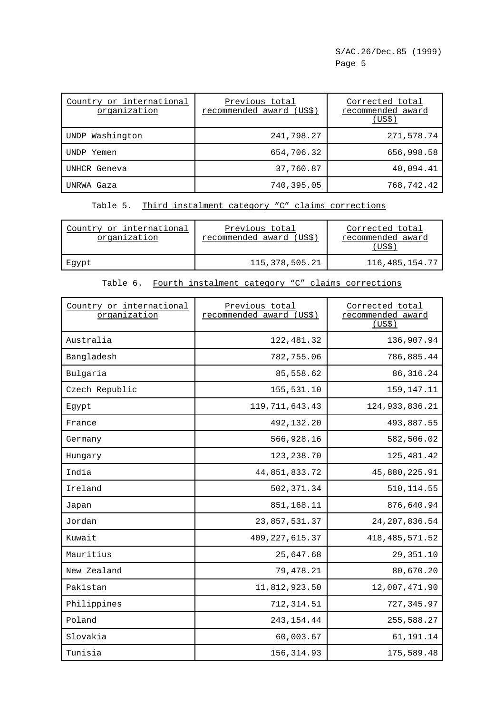| Country or international<br>organization | Previous total<br>recommended award (US\$) | Corrected total<br>recommended award<br>(USS) |
|------------------------------------------|--------------------------------------------|-----------------------------------------------|
| UNDP Washington                          | 241,798.27                                 | 271,578.74                                    |
| UNDP Yemen                               | 654,706.32                                 | 656,998.58                                    |
| UNHCR Geneva                             | 37,760.87                                  | 40,094.41                                     |
| UNRWA Gaza                               | 740,395.05                                 | 768,742.42                                    |

Table 5. Third instalment category "C" claims corrections

| Country or international<br>organization | Previous total<br>recommended award (US\$) | Corrected total<br>recommended award<br>US\$ |
|------------------------------------------|--------------------------------------------|----------------------------------------------|
| Eqypt                                    | 115,378,505.21                             | 116, 485, 154.77                             |

| Country or international<br>organization | Previous total<br>recommended award (US\$) | Corrected total<br>recommended award<br>(US\$) |
|------------------------------------------|--------------------------------------------|------------------------------------------------|
| Australia                                | 122,481.32                                 | 136,907.94                                     |
| Bangladesh                               | 782,755.06                                 | 786,885.44                                     |
| Bulgaria                                 | 85,558.62                                  | 86, 316. 24                                    |
| Czech Republic                           | 155,531.10                                 | 159,147.11                                     |
| Egypt                                    | 119, 711, 643. 43                          | 124,933,836.21                                 |
| France                                   | 492,132.20                                 | 493,887.55                                     |
| Germany                                  | 566,928.16                                 | 582,506.02                                     |
| Hungary                                  | 123, 238.70                                | 125,481.42                                     |
| India                                    | 44,851,833.72                              | 45,880,225.91                                  |
| Ireland                                  | 502, 371.34                                | 510, 114.55                                    |
| Japan                                    | 851,168.11                                 | 876,640.94                                     |
| Jordan                                   | 23,857,531.37                              | 24, 207, 836.54                                |
| Kuwait                                   | 409, 227, 615.37                           | 418, 485, 571.52                               |
| Mauritius                                | 25,647.68                                  | 29, 351. 10                                    |
| New Zealand                              | 79,478.21                                  | 80,670.20                                      |
| Pakistan                                 | 11,812,923.50                              | 12,007,471.90                                  |
| Philippines                              | 712, 314.51                                | 727,345.97                                     |
| Poland                                   | 243, 154.44                                | 255,588.27                                     |
| Slovakia                                 | 60,003.67                                  | 61,191.14                                      |
| Tunisia                                  | 156, 314.93                                | 175,589.48                                     |

### Table 6. Fourth instalment category "C" claims corrections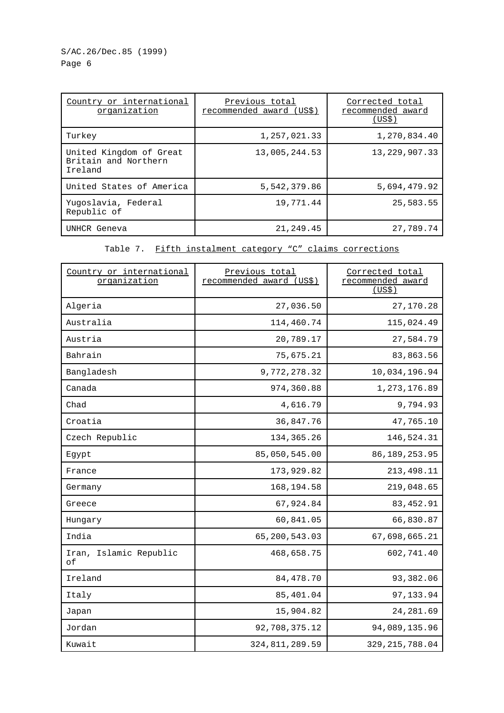S/AC.26/Dec.85 (1999) Page 6

| Country or international<br>organization                   | Previous total<br>recommended award (US\$) | Corrected total<br>recommended award<br>(US\$) |
|------------------------------------------------------------|--------------------------------------------|------------------------------------------------|
| Turkey                                                     | 1,257,021.33                               | 1,270,834.40                                   |
| United Kingdom of Great<br>Britain and Northern<br>Ireland | 13,005,244.53                              | 13, 229, 907. 33                               |
| United States of America                                   | 5,542,379.86                               | 5,694,479.92                                   |
| Yugoslavia, Federal<br>Republic of                         | 19,771.44                                  | 25,583.55                                      |
| UNHCR Geneva                                               | 21, 249.45                                 | 27,789.74                                      |

Table 7. Fifth instalment category "C" claims corrections

| Country or international<br>organization | Previous total<br>recommended award (US\$) | Corrected total<br>recommended award<br>(US\$) |
|------------------------------------------|--------------------------------------------|------------------------------------------------|
| Algeria                                  | 27,036.50                                  | 27,170.28                                      |
| Australia                                | 114,460.74                                 | 115,024.49                                     |
| Austria                                  | 20,789.17                                  | 27,584.79                                      |
| Bahrain                                  | 75,675.21                                  | 83,863.56                                      |
| Bangladesh                               | 9,772,278.32                               | 10,034,196.94                                  |
| Canada                                   | 974,360.88                                 | 1,273,176.89                                   |
| Chad                                     | 4,616.79                                   | 9,794.93                                       |
| Croatia                                  | 36,847.76                                  | 47,765.10                                      |
| Czech Republic                           | 134, 365. 26                               | 146,524.31                                     |
| Egypt                                    | 85,050,545.00                              | 86, 189, 253.95                                |
| France                                   | 173,929.82                                 | 213, 498. 11                                   |
| Germany                                  | 168,194.58                                 | 219,048.65                                     |
| Greece                                   | 67,924.84                                  | 83, 452.91                                     |
| Hungary                                  | 60,841.05                                  | 66,830.87                                      |
| India                                    | 65,200,543.03                              | 67,698,665.21                                  |
| Iran, Islamic Republic<br>оf             | 468,658.75                                 | 602,741.40                                     |
| Ireland                                  | 84, 478. 70                                | 93,382.06                                      |
| Italy                                    | 85,401.04                                  | 97, 133.94                                     |
| Japan                                    | 15,904.82                                  | 24, 281.69                                     |
| Jordan                                   | 92,708,375.12                              | 94,089,135.96                                  |
| Kuwait                                   | 324, 811, 289.59                           | 329, 215, 788.04                               |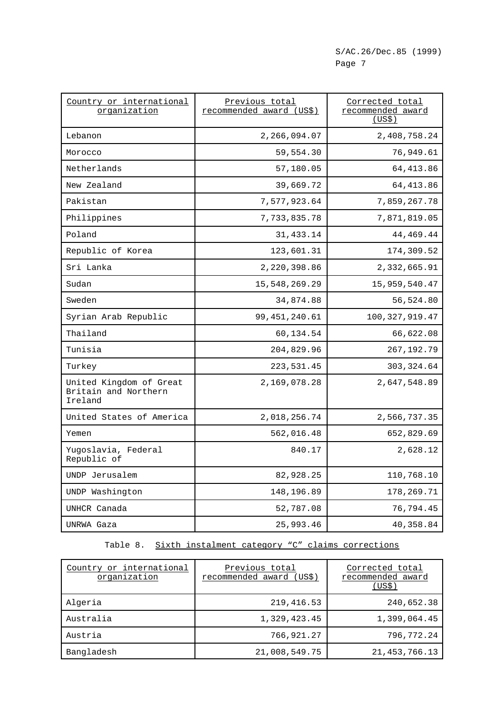| Country or international<br>organization                   | Previous total<br>recommended award (US\$) | Corrected total<br>recommended award<br><u>(US\$)</u> |
|------------------------------------------------------------|--------------------------------------------|-------------------------------------------------------|
| Lebanon                                                    | 2,266,094.07                               | 2,408,758.24                                          |
| Morocco                                                    | 59,554.30                                  | 76,949.61                                             |
| Netherlands                                                | 57,180.05                                  | 64, 413.86                                            |
| New Zealand                                                | 39,669.72                                  | 64, 413.86                                            |
| Pakistan                                                   | 7,577,923.64                               | 7,859,267.78                                          |
| Philippines                                                | 7,733,835.78                               | 7,871,819.05                                          |
| Poland                                                     | 31,433.14                                  | 44,469.44                                             |
| Republic of Korea                                          | 123,601.31                                 | 174,309.52                                            |
| Sri Lanka                                                  | 2,220,398.86                               | 2,332,665.91                                          |
| Sudan                                                      | 15,548,269.29                              | 15,959,540.47                                         |
| Sweden                                                     | 34,874.88                                  | 56,524.80                                             |
| Syrian Arab Republic                                       | 99, 451, 240.61                            | 100, 327, 919.47                                      |
| Thailand                                                   | 60,134.54                                  | 66,622.08                                             |
| Tunisia                                                    | 204,829.96                                 | 267, 192. 79                                          |
| Turkey                                                     | 223, 531.45                                | 303, 324.64                                           |
| United Kingdom of Great<br>Britain and Northern<br>Ireland | 2,169,078.28                               | 2,647,548.89                                          |
| United States of America                                   | 2,018,256.74                               | 2,566,737.35                                          |
| Yemen                                                      | 562,016.48                                 | 652,829.69                                            |
| Yugoslavia, Federal<br>Republic of                         | 840.17                                     | 2,628.12                                              |
| UNDP Jerusalem                                             | 82,928.25                                  | 110,768.10                                            |
| UNDP Washington                                            | 148,196.89                                 | 178,269.71                                            |
| UNHCR Canada                                               | 52,787.08                                  | 76,794.45                                             |
| UNRWA Gaza                                                 | 25,993.46                                  | 40,358.84                                             |

# Table 8. Sixth instalment category "C" claims corrections

| Country or international<br>organization | Previous total<br>recommended award (US\$) | Corrected total<br>recommended award<br>(US\$) |
|------------------------------------------|--------------------------------------------|------------------------------------------------|
| Algeria                                  | 219, 416.53                                | 240,652.38                                     |
| Australia                                | 1,329,423.45                               | 1,399,064.45                                   |
| Austria                                  | 766,921.27                                 | 796,772.24                                     |
| Bangladesh                               | 21,008,549.75                              | 21, 453, 766. 13                               |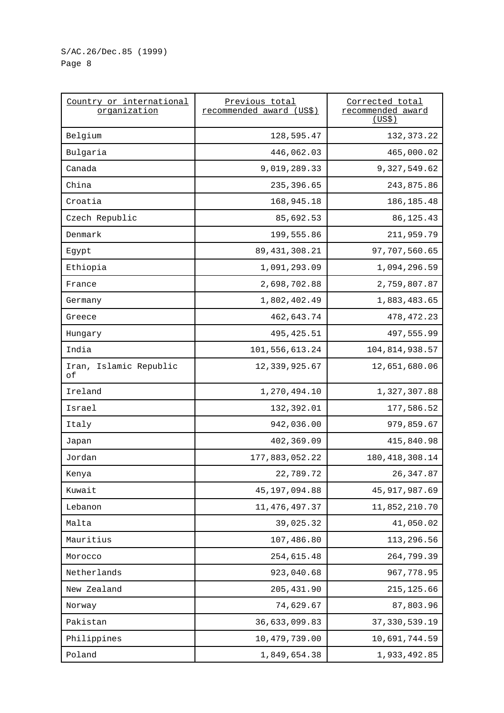| Country or international<br>organization | Previous total<br>recommended award (US\$) | Corrected total<br>recommended award<br>(US\$) |
|------------------------------------------|--------------------------------------------|------------------------------------------------|
| Belgium                                  | 128,595.47                                 | 132, 373. 22                                   |
| Bulgaria                                 | 446,062.03                                 | 465,000.02                                     |
| Canada                                   | 9,019,289.33                               | 9,327,549.62                                   |
| China                                    | 235,396.65                                 | 243,875.86                                     |
| Croatia                                  | 168,945.18                                 | 186, 185. 48                                   |
| Czech Republic                           | 85,692.53                                  | 86, 125. 43                                    |
| Denmark                                  | 199,555.86                                 | 211,959.79                                     |
| Egypt                                    | 89, 431, 308.21                            | 97,707,560.65                                  |
| Ethiopia                                 | 1,091,293.09                               | 1,094,296.59                                   |
| France                                   | 2,698,702.88                               | 2,759,807.87                                   |
| Germany                                  | 1,802,402.49                               | 1,883,483.65                                   |
| Greece                                   | 462,643.74                                 | 478, 472. 23                                   |
| Hungary                                  | 495, 425.51                                | 497,555.99                                     |
| India                                    | 101,556,613.24                             | 104,814,938.57                                 |
| Iran, Islamic Republic<br>оf             | 12,339,925.67                              | 12,651,680.06                                  |
| Ireland                                  | 1,270,494.10                               | 1,327,307.88                                   |
| Israel                                   | 132,392.01                                 | 177,586.52                                     |
| Italy                                    | 942,036.00                                 | 979,859.67                                     |
| Japan                                    | 402,369.09                                 | 415,840.98                                     |
| Jordan                                   | 177,883,052.22                             | 180, 418, 308. 14                              |
| Kenya                                    | 22,789.72                                  | 26, 347.87                                     |
| Kuwait                                   | 45, 197, 094.88                            | 45, 917, 987.69                                |
| Lebanon                                  | 11, 476, 497.37                            | 11,852,210.70                                  |
| Malta                                    | 39,025.32                                  | 41,050.02                                      |
| Mauritius                                | 107,486.80                                 | 113,296.56                                     |
| Morocco                                  | 254,615.48                                 | 264,799.39                                     |
| Netherlands                              | 923,040.68                                 | 967,778.95                                     |
| New Zealand                              | 205, 431.90                                | 215, 125.66                                    |
| Norway                                   | 74,629.67                                  | 87,803.96                                      |
| Pakistan                                 | 36,633,099.83                              | 37, 330, 539.19                                |
| Philippines                              | 10,479,739.00                              | 10,691,744.59                                  |
| Poland                                   | 1,849,654.38                               | 1,933,492.85                                   |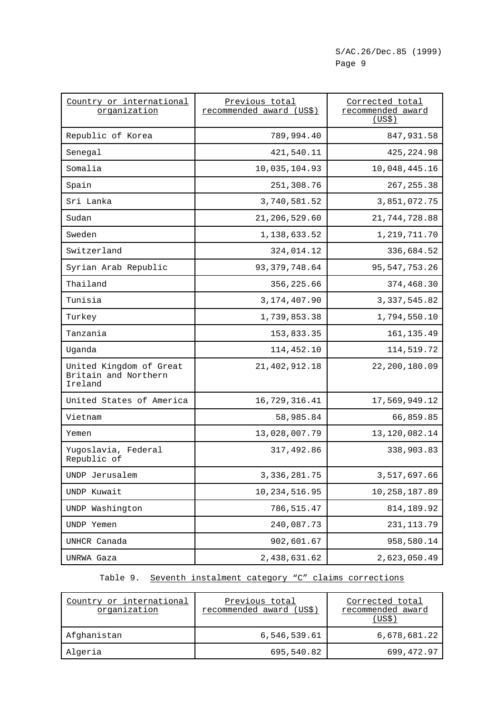| Country or international<br>organization                   | Previous total<br>recommended award (US\$) | Corrected total<br>recommended award<br>(US\$) |
|------------------------------------------------------------|--------------------------------------------|------------------------------------------------|
| Republic of Korea                                          | 789,994.40                                 | 847,931.58                                     |
| Senegal                                                    | 421,540.11                                 | 425, 224.98                                    |
| Somalia                                                    | 10,035,104.93                              | 10,048,445.16                                  |
| Spain                                                      | 251,308.76                                 | 267, 255.38                                    |
| Sri Lanka                                                  | 3,740,581.52                               | 3,851,072.75                                   |
| Sudan                                                      | 21,206,529.60                              | 21,744,728.88                                  |
| Sweden                                                     | 1,138,633.52                               | 1,219,711.70                                   |
| Switzerland                                                | 324,014.12                                 | 336,684.52                                     |
| Syrian Arab Republic                                       | 93, 379, 748.64                            | 95, 547, 753. 26                               |
| Thailand                                                   | 356,225.66                                 | 374,468.30                                     |
| Tunisia                                                    | 3, 174, 407.90                             | 3, 337, 545.82                                 |
| Turkey                                                     | 1,739,853.38                               | 1,794,550.10                                   |
| Tanzania                                                   | 153,833.35                                 | 161, 135.49                                    |
| Uganda                                                     | 114,452.10                                 | 114,519.72                                     |
| United Kingdom of Great<br>Britain and Northern<br>Ireland | 21, 402, 912. 18                           | 22,200,180.09                                  |
| United States of America                                   | 16,729,316.41                              | 17,569,949.12                                  |
| Vietnam                                                    | 58,985.84                                  | 66,859.85                                      |
| Yemen                                                      | 13,028,007.79                              | 13, 120, 082. 14                               |
| Yugoslavia, Federal<br>Republic of                         | 317,492.86                                 | 338,903.83                                     |
| UNDP Jerusalem                                             | 3, 336, 281.75                             | 3,517,697.66                                   |
| UNDP Kuwait                                                | 10, 234, 516.95                            | 10,258,187.89                                  |
| UNDP Washington                                            | 786,515.47                                 | 814, 189.92                                    |
| UNDP Yemen                                                 | 240,087.73                                 | 231, 113. 79                                   |
| UNHCR Canada                                               | 902,601.67                                 | 958,580.14                                     |
| UNRWA Gaza                                                 | 2,438,631.62                               | 2,623,050.49                                   |

Table 9. Seventh instalment category "C" claims corrections

| Country or international<br>organization | Previous total<br>recommended award (US\$) | Corrected total<br>recommended award<br>US\$' |
|------------------------------------------|--------------------------------------------|-----------------------------------------------|
| Afghanistan                              | 6,546,539.61                               | 6,678,681.22                                  |
| Algeria                                  | 695,540.82                                 | 699,472.97                                    |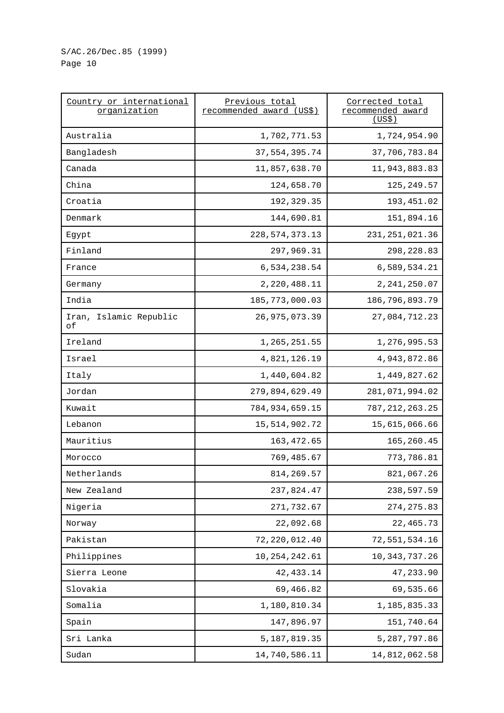| Country or international<br>organization | Previous total<br>recommended award (US\$) | Corrected total<br>recommended award<br>(US\$) |
|------------------------------------------|--------------------------------------------|------------------------------------------------|
| Australia                                | 1,702,771.53                               | 1,724,954.90                                   |
| Bangladesh                               | 37, 554, 395.74                            | 37,706,783.84                                  |
| Canada                                   | 11,857,638.70                              | 11,943,883.83                                  |
| China                                    | 124,658.70                                 | 125, 249.57                                    |
| Croatia                                  | 192, 329.35                                | 193,451.02                                     |
| Denmark                                  | 144,690.81                                 | 151,894.16                                     |
| Egypt                                    | 228, 574, 373. 13                          | 231, 251, 021.36                               |
| Finland                                  | 297,969.31                                 | 298,228.83                                     |
| France                                   | 6,534,238.54                               | 6,589,534.21                                   |
| Germany                                  | 2,220,488.11                               | 2, 241, 250.07                                 |
| India                                    | 185, 773, 000.03                           | 186,796,893.79                                 |
| Iran, Islamic Republic<br>оf             | 26, 975, 073.39                            | 27,084,712.23                                  |
| Ireland                                  | 1,265,251.55                               | 1,276,995.53                                   |
| Israel                                   | 4,821,126.19                               | 4,943,872.86                                   |
| Italy                                    | 1,440,604.82                               | 1,449,827.62                                   |
| Jordan                                   | 279,894,629.49                             | 281,071,994.02                                 |
| Kuwait                                   | 784, 934, 659.15                           | 787, 212, 263. 25                              |
| Lebanon                                  | 15,514,902.72                              | 15,615,066.66                                  |
| Mauritius                                | 163, 472.65                                | 165,260.45                                     |
| Morocco                                  | 769,485.67                                 | 773,786.81                                     |
| Netherlands                              | 814,269.57                                 | 821,067.26                                     |
| New Zealand                              | 237,824.47                                 | 238,597.59                                     |
| Nigeria                                  | 271,732.67                                 | 274, 275.83                                    |
| Norway                                   | 22,092.68                                  | 22, 465.73                                     |
| Pakistan                                 | 72, 220, 012.40                            | 72,551,534.16                                  |
| Philippines                              | 10, 254, 242.61                            | 10, 343, 737. 26                               |
| Sierra Leone                             | 42, 433.14                                 | 47,233.90                                      |
| Slovakia                                 | 69,466.82                                  | 69,535.66                                      |
| Somalia                                  | 1,180,810.34                               | 1,185,835.33                                   |
| Spain                                    | 147,896.97                                 | 151,740.64                                     |
| Sri Lanka                                | 5, 187, 819.35                             | 5, 287, 797.86                                 |
| Sudan                                    | 14,740,586.11                              | 14,812,062.58                                  |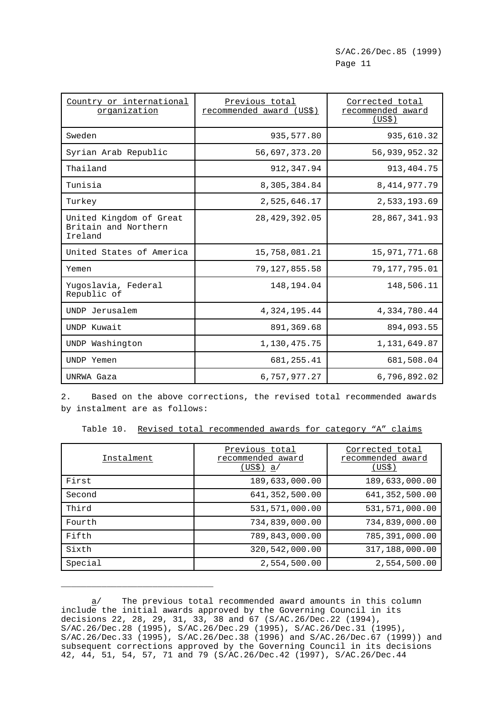| Country or international<br>organization                   | Previous total<br>recommended award (US\$) | Corrected total<br>recommended award<br>(US\$) |
|------------------------------------------------------------|--------------------------------------------|------------------------------------------------|
| Sweden                                                     | 935,577.80                                 | 935,610.32                                     |
| Syrian Arab Republic                                       | 56,697,373.20                              | 56,939,952.32                                  |
| Thailand                                                   | 912,347.94                                 | 913, 404. 75                                   |
| Tunisia                                                    | 8,305,384.84                               | 8, 414, 977. 79                                |
| Turkey                                                     | 2,525,646.17                               | 2,533,193.69                                   |
| United Kingdom of Great<br>Britain and Northern<br>Ireland | 28, 429, 392.05                            | 28,867,341.93                                  |
| United States of America                                   | 15,758,081.21                              | 15,971,771.68                                  |
| Yemen                                                      | 79,127,855.58                              | 79,177,795.01                                  |
| Yugoslavia, Federal<br>Republic of                         | 148,194.04                                 | 148,506.11                                     |
| UNDP Jerusalem                                             | 4,324,195.44                               | 4,334,780.44                                   |
| UNDP Kuwait                                                | 891,369.68                                 | 894,093.55                                     |
| UNDP Washington                                            | 1,130,475.75                               | 1,131,649.87                                   |
| UNDP Yemen                                                 | 681, 255.41                                | 681,508.04                                     |
| UNRWA Gaza                                                 | 6,757,977.27                               | 6,796,892.02                                   |

2. Based on the above corrections, the revised total recommended awards by instalment are as follows:

Table 10. Revised total recommended awards for category "A" claims

| Instalment | Previous total<br>recommended award<br>(USS) a/ | Corrected total<br>recommended award<br>(US\$) |
|------------|-------------------------------------------------|------------------------------------------------|
| First      | 189,633,000.00                                  | 189,633,000.00                                 |
| Second     | 641, 352, 500.00                                | 641, 352, 500.00                               |
| Third      | 531,571,000.00                                  | 531,571,000.00                                 |
| Fourth     | 734,839,000.00                                  | 734,839,000.00                                 |
| Fifth      | 789,843,000.00                                  | 785,391,000.00                                 |
| Sixth      | 320,542,000.00                                  | 317,188,000.00                                 |
| Special    | 2,554,500.00                                    | 2,554,500.00                                   |

a/ The previous total recommended award amounts in this column include the initial awards approved by the Governing Council in its decisions 22, 28, 29, 31, 33, 38 and 67 (S/AC.26/Dec.22 (1994), S/AC.26/Dec.28 (1995), S/AC.26/Dec.29 (1995), S/AC.26/Dec.31 (1995), S/AC.26/Dec.33 (1995), S/AC.26/Dec.38 (1996) and S/AC.26/Dec.67 (1999)) and subsequent corrections approved by the Governing Council in its decisions 42, 44, 51, 54, 57, 71 and 79 (S/AC.26/Dec.42 (1997), S/AC.26/Dec.44

\_\_\_\_\_\_\_\_\_\_\_\_\_\_\_\_\_\_\_\_\_\_\_\_\_\_\_\_\_\_